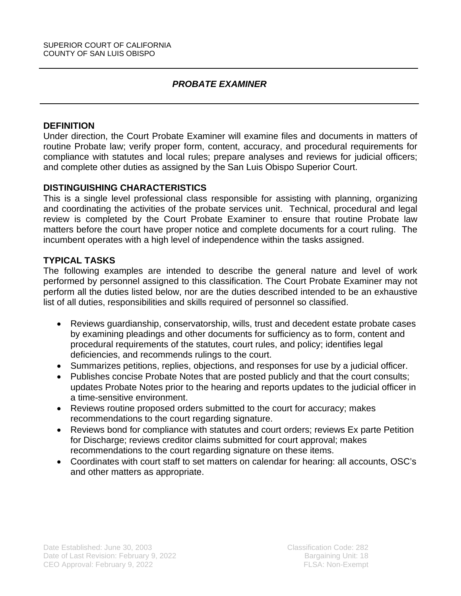# *PROBATE EXAMINER*

#### **DEFINITION**

Under direction, the Court Probate Examiner will examine files and documents in matters of routine Probate law; verify proper form, content, accuracy, and procedural requirements for compliance with statutes and local rules; prepare analyses and reviews for judicial officers; and complete other duties as assigned by the San Luis Obispo Superior Court.

### **DISTINGUISHING CHARACTERISTICS**

This is a single level professional class responsible for assisting with planning, organizing and coordinating the activities of the probate services unit. Technical, procedural and legal review is completed by the Court Probate Examiner to ensure that routine Probate law matters before the court have proper notice and complete documents for a court ruling. The incumbent operates with a high level of independence within the tasks assigned.

### **TYPICAL TASKS**

The following examples are intended to describe the general nature and level of work performed by personnel assigned to this classification. The Court Probate Examiner may not perform all the duties listed below, nor are the duties described intended to be an exhaustive list of all duties, responsibilities and skills required of personnel so classified.

- Reviews guardianship, conservatorship, wills, trust and decedent estate probate cases by examining pleadings and other documents for sufficiency as to form, content and procedural requirements of the statutes, court rules, and policy; identifies legal deficiencies, and recommends rulings to the court.
- Summarizes petitions, replies, objections, and responses for use by a judicial officer.
- Publishes concise Probate Notes that are posted publicly and that the court consults; updates Probate Notes prior to the hearing and reports updates to the judicial officer in a time-sensitive environment.
- Reviews routine proposed orders submitted to the court for accuracy; makes recommendations to the court regarding signature.
- Reviews bond for compliance with statutes and court orders; reviews Ex parte Petition for Discharge; reviews creditor claims submitted for court approval; makes recommendations to the court regarding signature on these items.
- Coordinates with court staff to set matters on calendar for hearing: all accounts, OSC's and other matters as appropriate.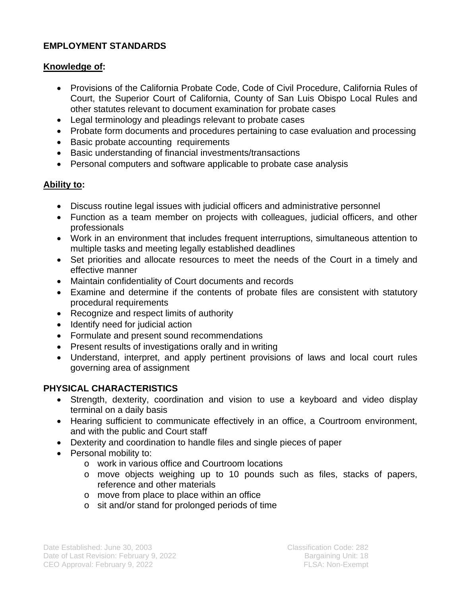# **EMPLOYMENT STANDARDS**

## **Knowledge of:**

- Provisions of the California Probate Code, Code of Civil Procedure, California Rules of Court, the Superior Court of California, County of San Luis Obispo Local Rules and other statutes relevant to document examination for probate cases
- Legal terminology and pleadings relevant to probate cases
- Probate form documents and procedures pertaining to case evaluation and processing
- Basic probate accounting requirements
- Basic understanding of financial investments/transactions
- Personal computers and software applicable to probate case analysis

## **Ability to:**

- Discuss routine legal issues with judicial officers and administrative personnel
- Function as a team member on projects with colleagues, judicial officers, and other professionals
- Work in an environment that includes frequent interruptions, simultaneous attention to multiple tasks and meeting legally established deadlines
- Set priorities and allocate resources to meet the needs of the Court in a timely and effective manner
- Maintain confidentiality of Court documents and records
- Examine and determine if the contents of probate files are consistent with statutory procedural requirements
- Recognize and respect limits of authority
- Identify need for judicial action
- Formulate and present sound recommendations
- Present results of investigations orally and in writing
- Understand, interpret, and apply pertinent provisions of laws and local court rules governing area of assignment

## **PHYSICAL CHARACTERISTICS**

- Strength, dexterity, coordination and vision to use a keyboard and video display terminal on a daily basis
- Hearing sufficient to communicate effectively in an office, a Courtroom environment, and with the public and Court staff
- Dexterity and coordination to handle files and single pieces of paper
- Personal mobility to:
	- o work in various office and Courtroom locations
	- o move objects weighing up to 10 pounds such as files, stacks of papers, reference and other materials
	- o move from place to place within an office
	- o sit and/or stand for prolonged periods of time